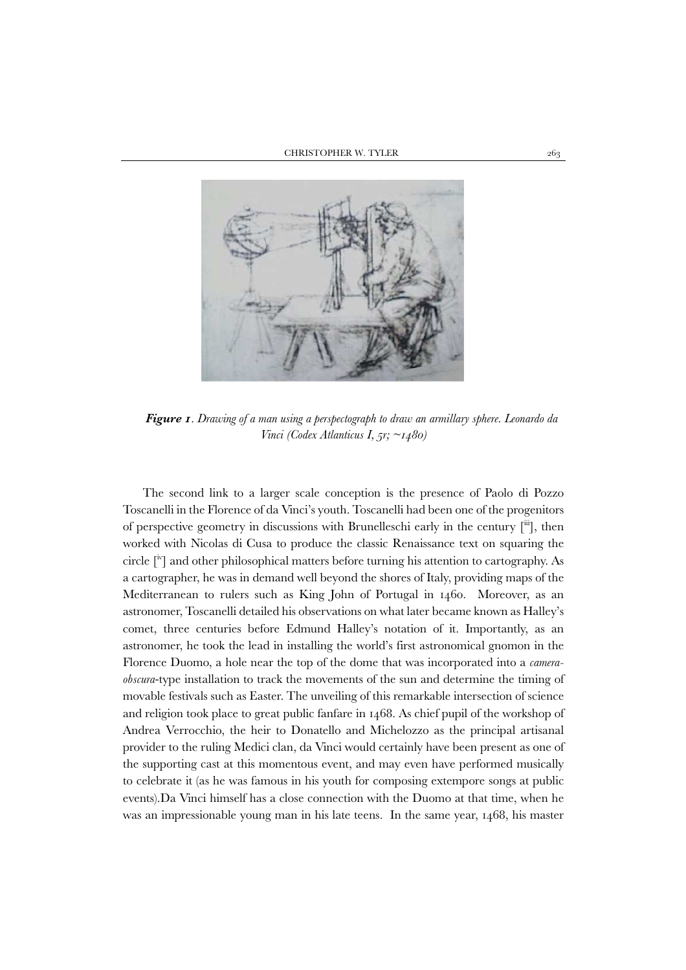

*Figure 1. Drawing of a man using a perspectograph to draw an armillary sphere. Leonardo da Vinci (Codex Atlanticus I, 5r; ~1480)* 

The second link to a larger scale conception is the presence of Paolo di Pozzo Toscanelli in the Florence of da Vinci's youth. Toscanelli had been one of the progenitors of perspective geometry in discussions with Brunelleschi early in the century  $[\cdot\cdot\cdot]$ , then worked with Nicolas di Cusa to produce the classic Renaissance text on squaring the circle [iv] and other philosophical matters before turning his attention to cartography. As a cartographer, he was in demand well beyond the shores of Italy, providing maps of the Mediterranean to rulers such as King John of Portugal in 1460. Moreover, as an astronomer, Toscanelli detailed his observations on what later became known as Halley's comet, three centuries before Edmund Halley's notation of it. Importantly, as an astronomer, he took the lead in installing the world's first astronomical gnomon in the Florence Duomo, a hole near the top of the dome that was incorporated into a *cameraobscura*-type installation to track the movements of the sun and determine the timing of movable festivals such as Easter. The unveiling of this remarkable intersection of science and religion took place to great public fanfare in 1468. As chief pupil of the workshop of Andrea Verrocchio, the heir to Donatello and Michelozzo as the principal artisanal provider to the ruling Medici clan, da Vinci would certainly have been present as one of the supporting cast at this momentous event, and may even have performed musically to celebrate it (as he was famous in his youth for composing extempore songs at public events).Da Vinci himself has a close connection with the Duomo at that time, when he was an impressionable young man in his late teens. In the same year, 1468, his master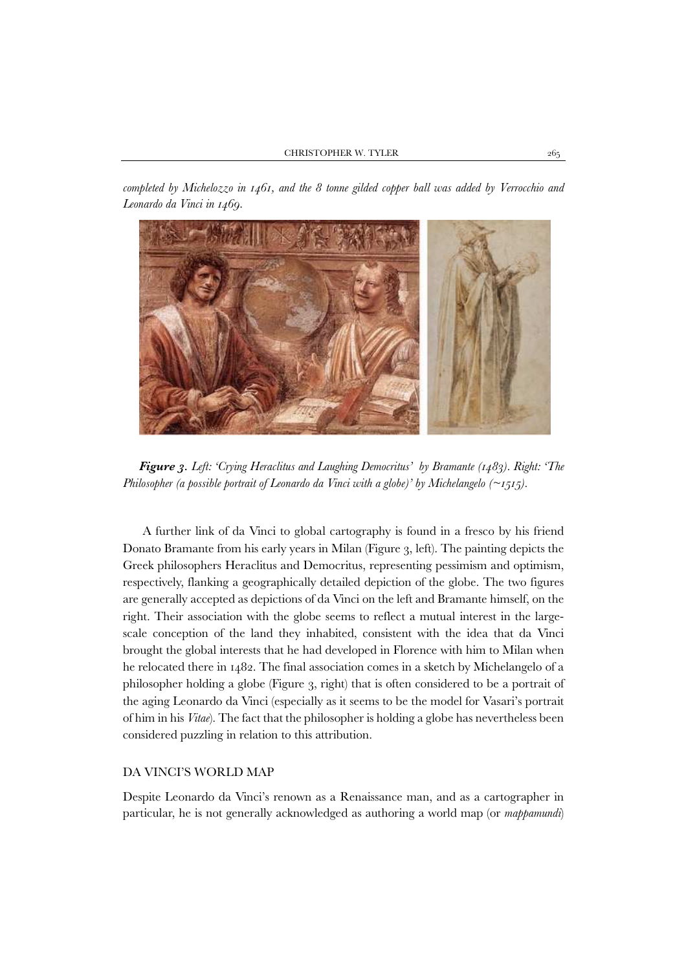*completed by Michelozzo in 1461, and the 8 tonne gilded copper ball was added by Verrocchio and Leonardo da Vinci in 1469.* 



*Figure 3. Left: 'Crying Heraclitus and Laughing Democritus' by Bramante (1483). Right: 'The Philosopher (a possible portrait of Leonardo da Vinci with a globe)' by Michelangelo (~1515).* 

A further link of da Vinci to global cartography is found in a fresco by his friend Donato Bramante from his early years in Milan (Figure 3, left). The painting depicts the Greek philosophers Heraclitus and Democritus, representing pessimism and optimism, respectively, flanking a geographically detailed depiction of the globe. The two figures are generally accepted as depictions of da Vinci on the left and Bramante himself, on the right. Their association with the globe seems to reflect a mutual interest in the largescale conception of the land they inhabited, consistent with the idea that da Vinci brought the global interests that he had developed in Florence with him to Milan when he relocated there in 1482. The final association comes in a sketch by Michelangelo of a philosopher holding a globe (Figure 3, right) that is often considered to be a portrait of the aging Leonardo da Vinci (especially as it seems to be the model for Vasari's portrait of him in his *Vitae*). The fact that the philosopher is holding a globe has nevertheless been considered puzzling in relation to this attribution.

## DA VINCI'S WORLD MAP

Despite Leonardo da Vinci's renown as a Renaissance man, and as a cartographer in particular, he is not generally acknowledged as authoring a world map (or *mappamundi*)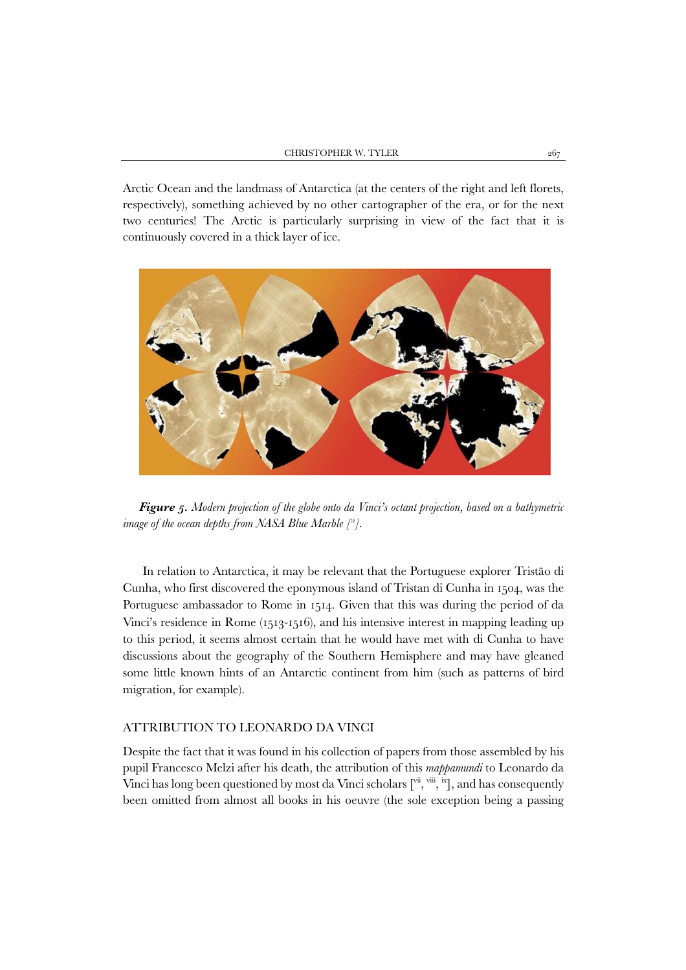Arctic Ocean and the landmass of Antarctica (at the centers of the right and left florets, respectively), something achieved by no other cartographer of the era, or for the next two centuries! The Arctic is particularly surprising in view of the fact that it is continuously covered in a thick layer of ice.



*Figure 5. Modern projection of the globe onto da Vinci's octant projection, based on a bathymetric image of the ocean depths from NASA Blue Marble [vi].* 

In relation to Antarctica, it may be relevant that the Portuguese explorer Tristão di Cunha, who first discovered the eponymous island of Tristan di Cunha in 1504, was the Portuguese ambassador to Rome in 1514. Given that this was during the period of da Vinci's residence in Rome (1513-1516), and his intensive interest in mapping leading up to this period, it seems almost certain that he would have met with di Cunha to have discussions about the geography of the Southern Hemisphere and may have gleaned some little known hints of an Antarctic continent from him (such as patterns of bird migration, for example).

## ATTRIBUTION TO LEONARDO DA VINCI

Despite the fact that it was found in his collection of papers from those assembled by his pupil Francesco Melzi after his death, the attribution of this *mappamundi* to Leonardo da Vinci has long been questioned by most da Vinci scholars  $[\Gamma^{\text{ii}}, \Gamma^{\text{iii}}, \Sigma]$ , and has consequently been omitted from almost all books in his oeuvre (the sole exception being a passing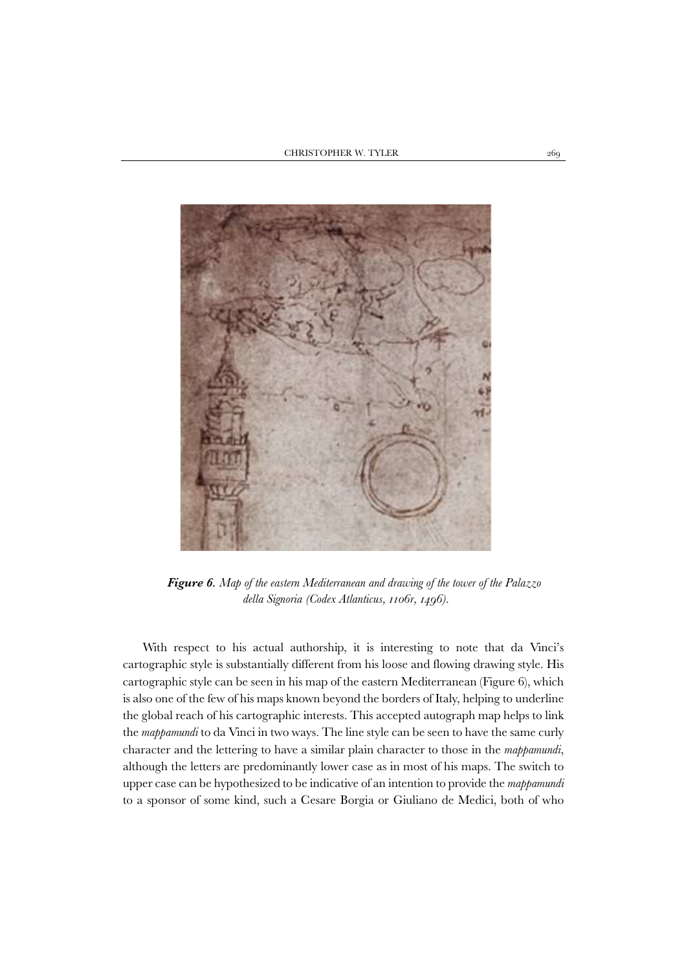

*Figure 6. Map of the eastern Mediterranean and drawing of the tower of the Palazzo della Signoria (Codex Atlanticus, 1106r, 1496).* 

With respect to his actual authorship, it is interesting to note that da Vinci's cartographic style is substantially different from his loose and flowing drawing style. His cartographic style can be seen in his map of the eastern Mediterranean (Figure 6), which is also one of the few of his maps known beyond the borders of Italy, helping to underline the global reach of his cartographic interests. This accepted autograph map helps to link the *mappamundi* to da Vinci in two ways. The line style can be seen to have the same curly character and the lettering to have a similar plain character to those in the *mappamundi*, although the letters are predominantly lower case as in most of his maps. The switch to upper case can be hypothesized to be indicative of an intention to provide the *mappamundi* to a sponsor of some kind, such a Cesare Borgia or Giuliano de Medici, both of who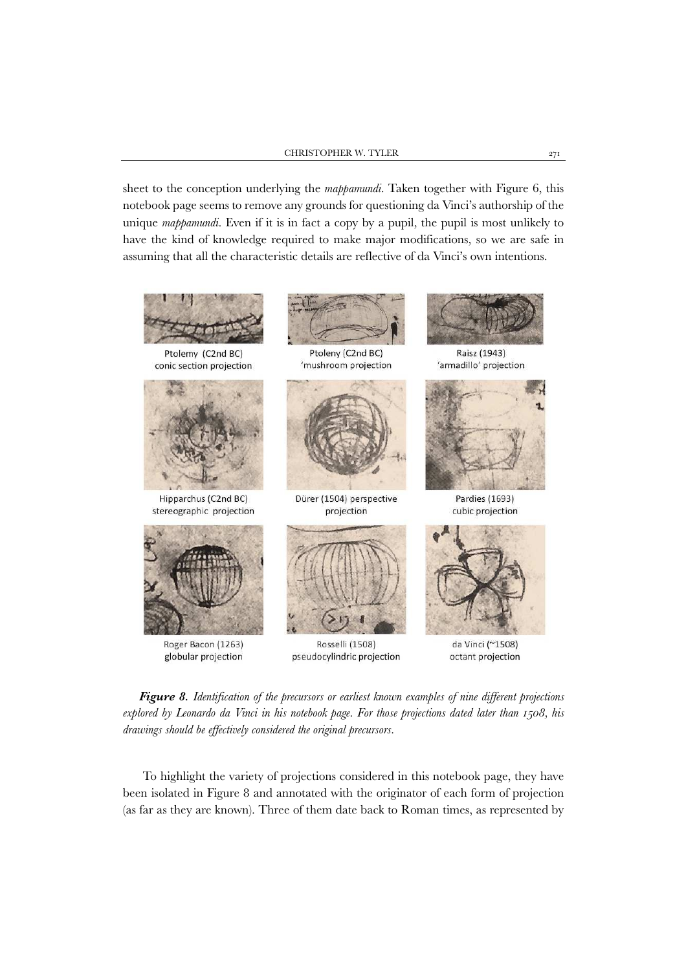sheet to the conception underlying the *mappamundi*. Taken together with Figure 6, this notebook page seems to remove any grounds for questioning da Vinci's authorship of the unique *mappamundi*. Even if it is in fact a copy by a pupil, the pupil is most unlikely to have the kind of knowledge required to make major modifications, so we are safe in assuming that all the characteristic details are reflective of da Vinci's own intentions.



*Figure 8. Identification of the precursors or earliest known examples of nine different projections explored by Leonardo da Vinci in his notebook page. For those projections dated later than 1508, his drawings should be effectively considered the original precursors.* 

To highlight the variety of projections considered in this notebook page, they have been isolated in Figure 8 and annotated with the originator of each form of projection (as far as they are known). Three of them date back to Roman times, as represented by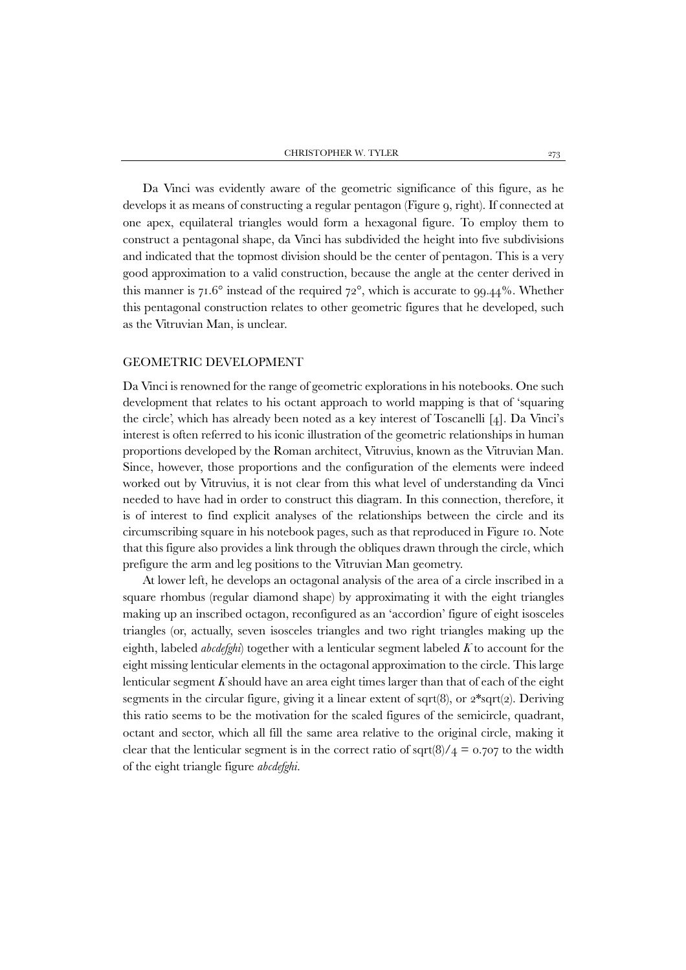Da Vinci was evidently aware of the geometric significance of this figure, as he develops it as means of constructing a regular pentagon (Figure 9, right). If connected at one apex, equilateral triangles would form a hexagonal figure. To employ them to construct a pentagonal shape, da Vinci has subdivided the height into five subdivisions and indicated that the topmost division should be the center of pentagon. This is a very good approximation to a valid construction, because the angle at the center derived in this manner is  $71.6^\circ$  instead of the required  $72^\circ$ , which is accurate to 99.44%. Whether this pentagonal construction relates to other geometric figures that he developed, such as the Vitruvian Man, is unclear.

## GEOMETRIC DEVELOPMENT

Da Vinci is renowned for the range of geometric explorations in his notebooks. One such development that relates to his octant approach to world mapping is that of 'squaring the circle', which has already been noted as a key interest of Toscanelli [4]. Da Vinci's interest is often referred to his iconic illustration of the geometric relationships in human proportions developed by the Roman architect, Vitruvius, known as the Vitruvian Man. Since, however, those proportions and the configuration of the elements were indeed worked out by Vitruvius, it is not clear from this what level of understanding da Vinci needed to have had in order to construct this diagram. In this connection, therefore, it is of interest to find explicit analyses of the relationships between the circle and its circumscribing square in his notebook pages, such as that reproduced in Figure 10. Note that this figure also provides a link through the obliques drawn through the circle, which prefigure the arm and leg positions to the Vitruvian Man geometry.

At lower left, he develops an octagonal analysis of the area of a circle inscribed in a square rhombus (regular diamond shape) by approximating it with the eight triangles making up an inscribed octagon, reconfigured as an 'accordion' figure of eight isosceles triangles (or, actually, seven isosceles triangles and two right triangles making up the eighth, labeled *abcdefghi*) together with a lenticular segment labeled *K* to account for the eight missing lenticular elements in the octagonal approximation to the circle. This large lenticular segment  $K$  should have an area eight times larger than that of each of the eight segments in the circular figure, giving it a linear extent of sqrt $(8)$ , or  $2*sqrt(2)$ . Deriving this ratio seems to be the motivation for the scaled figures of the semicircle, quadrant, octant and sector, which all fill the same area relative to the original circle, making it clear that the lenticular segment is in the correct ratio of sqrt(8)/ $\mu$  = 0.707 to the width of the eight triangle figure *abcdefghi*.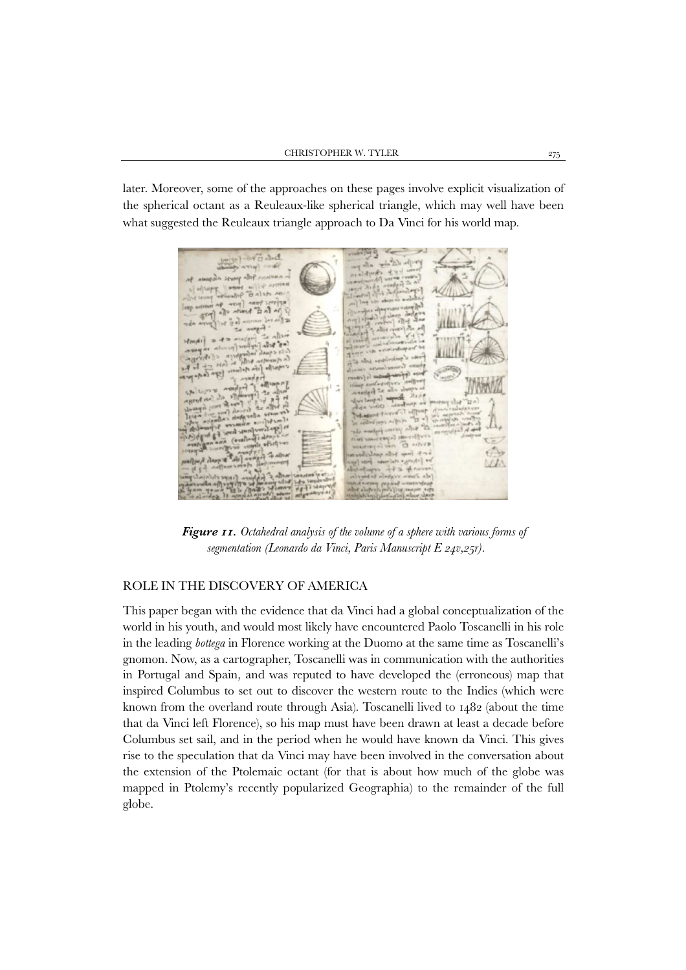later. Moreover, some of the approaches on these pages involve explicit visualization of the spherical octant as a Reuleaux-like spherical triangle, which may well have been what suggested the Reuleaux triangle approach to Da Vinci for his world map.

 $0.8<sup>2</sup>$  6  $-0.5<sup>2</sup>$ 

*Figure 11. Octahedral analysis of the volume of a sphere with various forms of segmentation (Leonardo da Vinci, Paris Manuscript E 24v,25r).* 

# ROLE IN THE DISCOVERY OF AMERICA

This paper began with the evidence that da Vinci had a global conceptualization of the world in his youth, and would most likely have encountered Paolo Toscanelli in his role in the leading *bottega* in Florence working at the Duomo at the same time as Toscanelli's gnomon. Now, as a cartographer, Toscanelli was in communication with the authorities in Portugal and Spain, and was reputed to have developed the (erroneous) map that inspired Columbus to set out to discover the western route to the Indies (which were known from the overland route through Asia). Toscanelli lived to 1482 (about the time that da Vinci left Florence), so his map must have been drawn at least a decade before Columbus set sail, and in the period when he would have known da Vinci. This gives rise to the speculation that da Vinci may have been involved in the conversation about the extension of the Ptolemaic octant (for that is about how much of the globe was mapped in Ptolemy's recently popularized Geographia) to the remainder of the full globe.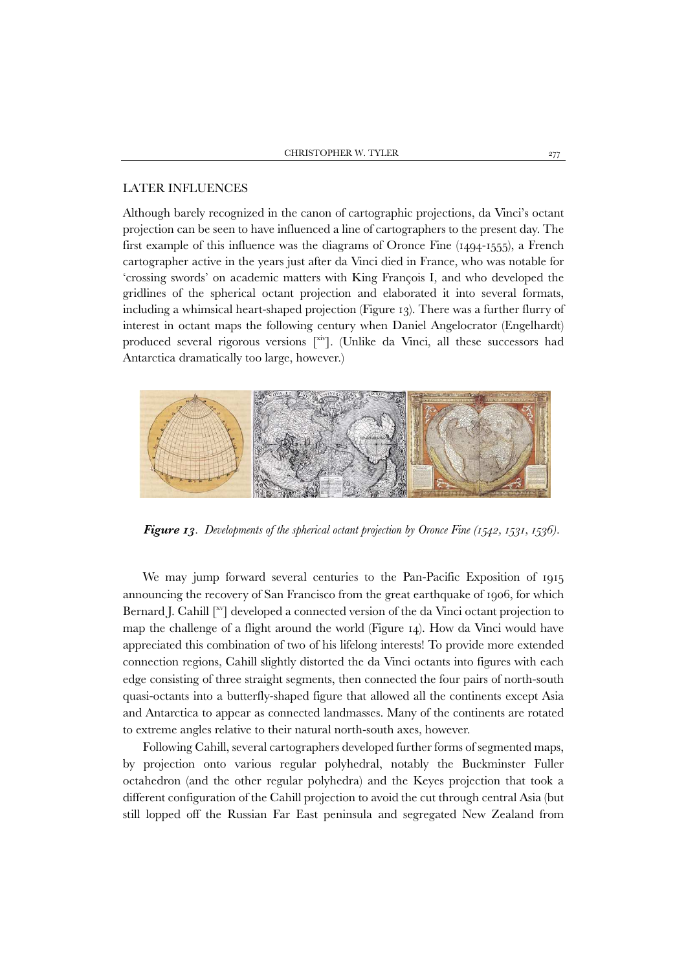### LATER INFLUENCES

Although barely recognized in the canon of cartographic projections, da Vinci's octant projection can be seen to have influenced a line of cartographers to the present day. The first example of this influence was the diagrams of Oronce Fine (1494-1555), a French cartographer active in the years just after da Vinci died in France, who was notable for 'crossing swords' on academic matters with King François I, and who developed the gridlines of the spherical octant projection and elaborated it into several formats, including a whimsical heart-shaped projection (Figure 13). There was a further flurry of interest in octant maps the following century when Daniel Angelocrator (Engelhardt) produced several rigorous versions [xiv]. (Unlike da Vinci, all these successors had Antarctica dramatically too large, however.)



*Figure 13. Developments of the spherical octant projection by Oronce Fine (1542, 1531, 1536).* 

We may jump forward several centuries to the Pan-Pacific Exposition of 1915 announcing the recovery of San Francisco from the great earthquake of 1906, for which Bernard J. Cahill  $\lceil x \rceil$  developed a connected version of the da Vinci octant projection to map the challenge of a flight around the world (Figure 14). How da Vinci would have appreciated this combination of two of his lifelong interests! To provide more extended connection regions, Cahill slightly distorted the da Vinci octants into figures with each edge consisting of three straight segments, then connected the four pairs of north-south quasi-octants into a butterfly-shaped figure that allowed all the continents except Asia and Antarctica to appear as connected landmasses. Many of the continents are rotated to extreme angles relative to their natural north-south axes, however.

Following Cahill, several cartographers developed further forms of segmented maps, by projection onto various regular polyhedral, notably the Buckminster Fuller octahedron (and the other regular polyhedra) and the Keyes projection that took a different configuration of the Cahill projection to avoid the cut through central Asia (but still lopped off the Russian Far East peninsula and segregated New Zealand from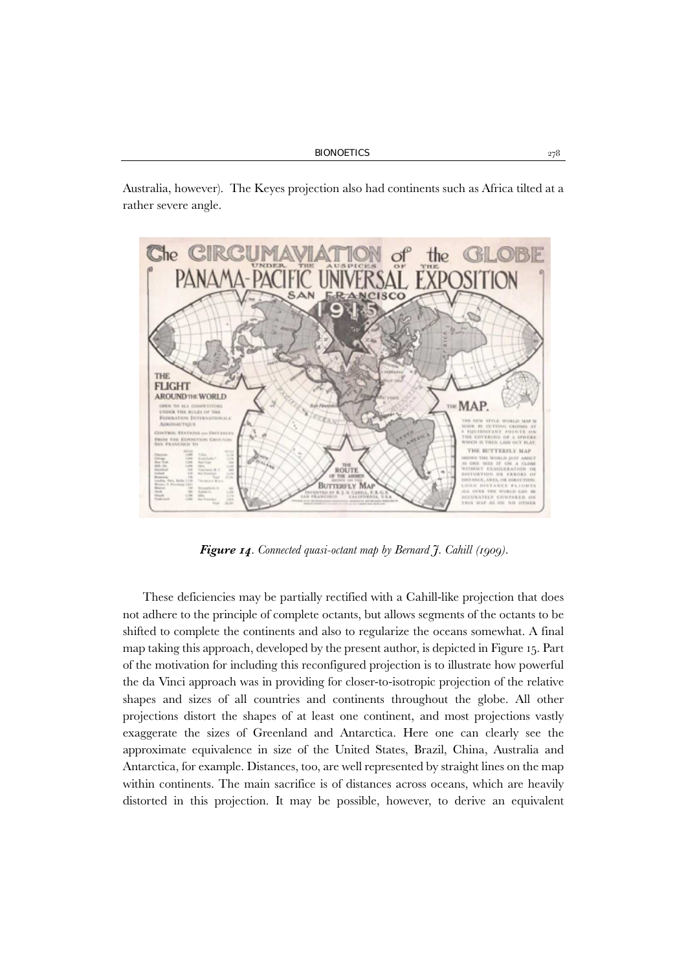Australia, however). The Keyes projection also had continents such as Africa tilted at a rather severe angle.



*Figure 14. Connected quasi-octant map by Bernard J. Cahill (1909).* 

These deficiencies may be partially rectified with a Cahill-like projection that does not adhere to the principle of complete octants, but allows segments of the octants to be shifted to complete the continents and also to regularize the oceans somewhat. A final map taking this approach, developed by the present author, is depicted in Figure 15. Part of the motivation for including this reconfigured projection is to illustrate how powerful the da Vinci approach was in providing for closer-to-isotropic projection of the relative shapes and sizes of all countries and continents throughout the globe. All other projections distort the shapes of at least one continent, and most projections vastly exaggerate the sizes of Greenland and Antarctica. Here one can clearly see the approximate equivalence in size of the United States, Brazil, China, Australia and Antarctica, for example. Distances, too, are well represented by straight lines on the map within continents. The main sacrifice is of distances across oceans, which are heavily distorted in this projection. It may be possible, however, to derive an equivalent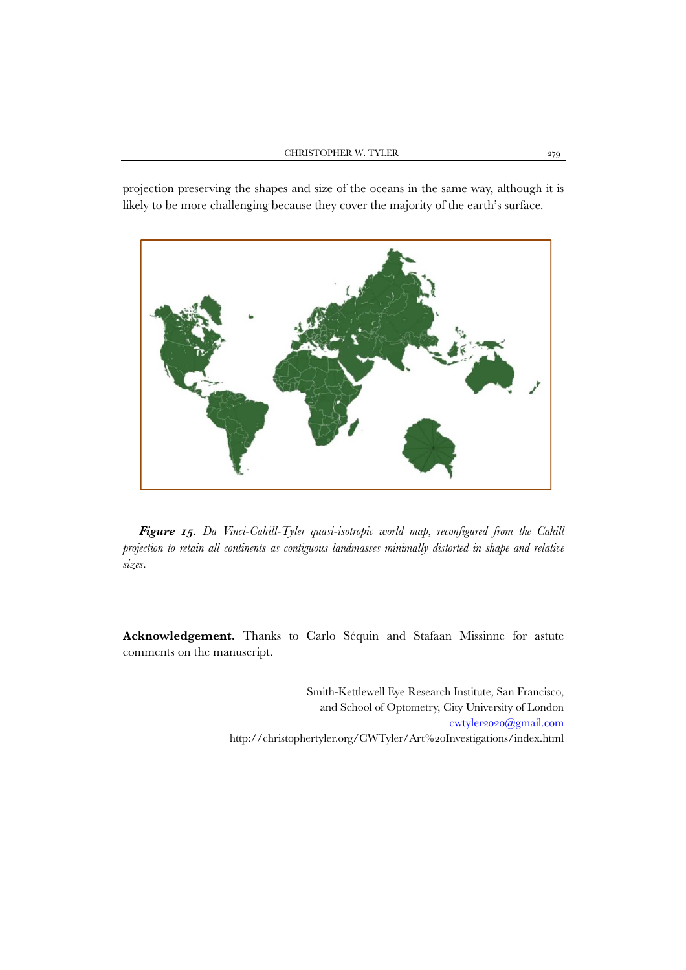projection preserving the shapes and size of the oceans in the same way, although it is likely to be more challenging because they cover the majority of the earth's surface.



*Figure 15. Da Vinci-Cahill-Tyler quasi-isotropic world map, reconfigured from the Cahill projection to retain all continents as contiguous landmasses minimally distorted in shape and relative sizes.* 

**Acknowledgement.** Thanks to Carlo Séquin and Stafaan Missinne for astute comments on the manuscript.

> Smith-Kettlewell Eye Research Institute, San Francisco, and School of Optometry, City University of London cwtyler2020@gmail.com http://christophertyler.org/CWTyler/Art%20Investigations/index.html